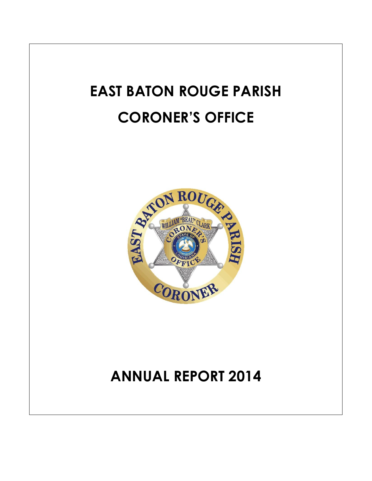# **EAST BATON ROUGE PARISH CORONER'S OFFICE**



## **ANNUAL REPORT 2014**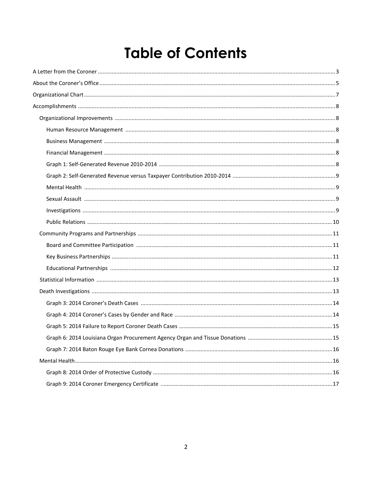### **Table of Contents**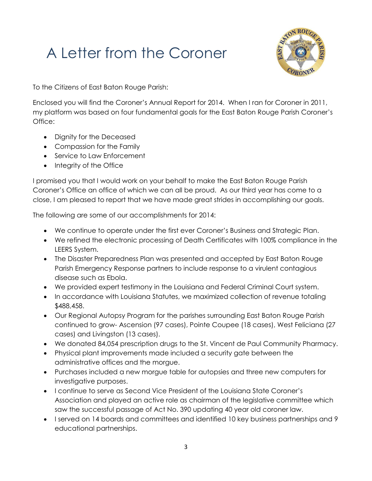## A Letter from the Coroner



To the Citizens of East Baton Rouge Parish:

Enclosed you will find the Coroner's Annual Report for 2014. When I ran for Coroner in 2011, my platform was based on four fundamental goals for the East Baton Rouge Parish Coroner's Office:

- Dignity for the Deceased
- Compassion for the Family
- Service to Law Enforcement
- Integrity of the Office

I promised you that I would work on your behalf to make the East Baton Rouge Parish Coroner's Office an office of which we can all be proud. As our third year has come to a close, I am pleased to report that we have made great strides in accomplishing our goals.

The following are some of our accomplishments for 2014:

- We continue to operate under the first ever Coroner's Business and Strategic Plan.
- We refined the electronic processing of Death Certificates with 100% compliance in the LEERS System.
- The Disaster Preparedness Plan was presented and accepted by East Baton Rouge Parish Emergency Response partners to include response to a virulent contagious disease such as Ebola.
- We provided expert testimony in the Louisiana and Federal Criminal Court system.
- In accordance with Louisiana Statutes, we maximized collection of revenue totaling \$488,458.
- Our Regional Autopsy Program for the parishes surrounding East Baton Rouge Parish continued to grow- Ascension (97 cases), Pointe Coupee (18 cases), West Feliciana (27 cases) and Livingston (13 cases).
- We donated 84,054 prescription drugs to the St. Vincent de Paul Community Pharmacy.
- Physical plant improvements made included a security gate between the administrative offices and the morgue.
- Purchases included a new morgue table for autopsies and three new computers for investigative purposes.
- I continue to serve as Second Vice President of the Louisiana State Coroner's Association and played an active role as chairman of the legislative committee which saw the successful passage of Act No. 390 updating 40 year old coroner law.
- I served on 14 boards and committees and identified 10 key business partnerships and 9 educational partnerships.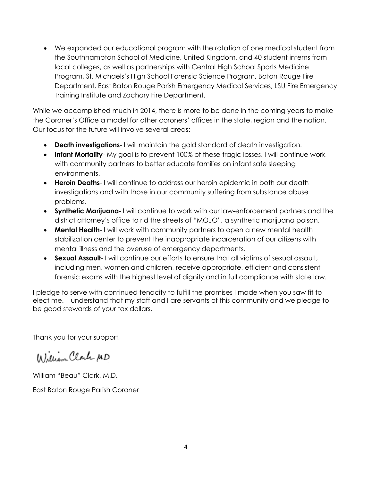We expanded our educational program with the rotation of one medical student from the Southhampton School of Medicine, United Kingdom, and 40 student interns from local colleges, as well as partnerships with Central High School Sports Medicine Program, St. Michaels's High School Forensic Science Program, Baton Rouge Fire Department, East Baton Rouge Parish Emergency Medical Services, LSU Fire Emergency Training Institute and Zachary Fire Department.

While we accomplished much in 2014, there is more to be done in the coming years to make the Coroner's Office a model for other coroners' offices in the state, region and the nation. Our focus for the future will involve several areas:

- **Death investigations** I will maintain the gold standard of death investigation.
- **Infant Mortality** My goal is to prevent 100% of these tragic losses. I will continue work with community partners to better educate families on infant safe sleeping environments.
- **Heroin Deaths** I will continue to address our heroin epidemic in both our death investigations and with those in our community suffering from substance abuse problems.
- **Synthetic Marijuana** I will continue to work with our law-enforcement partners and the district attorney's office to rid the streets of "MOJO", a synthetic marijuana poison.
- **Mental Health-** I will work with community partners to open a new mental health stabilization center to prevent the inappropriate incarceration of our citizens with mental illness and the overuse of emergency departments.
- **Sexual Assault** I will continue our efforts to ensure that all victims of sexual assault, including men, women and children, receive appropriate, efficient and consistent forensic exams with the highest level of dignity and in full compliance with state law.

I pledge to serve with continued tenacity to fulfill the promises I made when you saw fit to elect me. I understand that my staff and I are servants of this community and we pledge to be good stewards of your tax dollars.

Thank you for your support,

William Clark MD

William "Beau" Clark, M.D.

East Baton Rouge Parish Coroner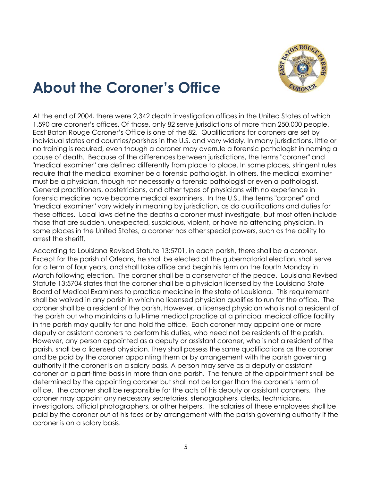

### **About the Coroner's Office**

At the end of 2004, there were 2,342 death investigation offices in the United States of which 1,590 are coroner's offices. Of those, only 82 serve jurisdictions of more than 250,000 people. East Baton Rouge Coroner's Office is one of the 82. Qualifications for coroners are set by individual states and counties/parishes in the U.S. and vary widely. In many jurisdictions, little or no training is required, even though a coroner may overrule a forensic pathologist in naming a cause of death. Because of the differences between jurisdictions, the terms "coroner" and "medical examiner" are defined differently from place to place. In some places, stringent rules require that the medical examiner be a forensic pathologist. In others, the medical examiner must be a physician, though not necessarily a forensic pathologist or even a pathologist. General practitioners, obstetricians, and other types of physicians with no experience in forensic medicine have become medical examiners. In the U.S., the terms "coroner" and "medical examiner" vary widely in meaning by jurisdiction, as do qualifications and duties for these offices. Local laws define the deaths a coroner must investigate, but most often include those that are sudden, unexpected, suspicious, violent, or have no attending physician. In some places in the United States, a coroner has other special powers, such as the ability to arrest the sheriff.

According to Louisiana Revised Statute 13:5701, in each parish, there shall be a coroner. Except for the parish of Orleans, he shall be elected at the gubernatorial election, shall serve for a term of four years, and shall take office and begin his term on the fourth Monday in March following election. The coroner shall be a conservator of the peace. Louisiana Revised Statute 13:5704 states that the coroner shall be a physician licensed by the Louisiana State Board of Medical Examiners to practice medicine in the state of Louisiana. This requirement shall be waived in any parish in which no licensed physician qualifies to run for the office. The coroner shall be a resident of the parish. However, a licensed physician who is not a resident of the parish but who maintains a full-time medical practice at a principal medical office facility in the parish may qualify for and hold the office. Each coroner may appoint one or more deputy or assistant coroners to perform his duties, who need not be residents of the parish. However, any person appointed as a deputy or assistant coroner, who is not a resident of the parish, shall be a licensed physician. They shall possess the same qualifications as the coroner and be paid by the coroner appointing them or by arrangement with the parish governing authority if the coroner is on a salary basis. A person may serve as a deputy or assistant coroner on a part-time basis in more than one parish. The tenure of the appointment shall be determined by the appointing coroner but shall not be longer than the coroner's term of office. The coroner shall be responsible for the acts of his deputy or assistant coroners. The coroner may appoint any necessary secretaries, stenographers, clerks, technicians, investigators, official photographers, or other helpers. The salaries of these employees shall be paid by the coroner out of his fees or by arrangement with the parish governing authority if the coroner is on a salary basis.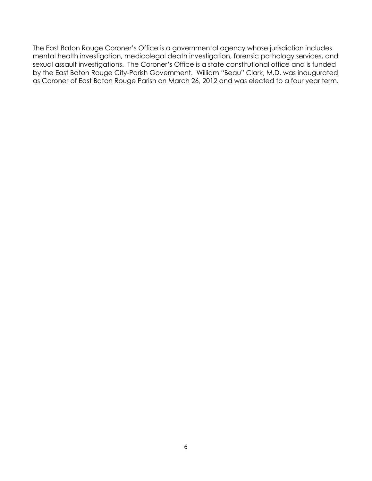The East Baton Rouge Coroner's Office is a governmental agency whose jurisdiction includes mental health investigation, medicolegal death investigation, forensic pathology services, and sexual assault investigations. The Coroner's Office is a state constitutional office and is funded by the East Baton Rouge City-Parish Government. William "Beau" Clark, M.D. was inaugurated as Coroner of East Baton Rouge Parish on March 26, 2012 and was elected to a four year term.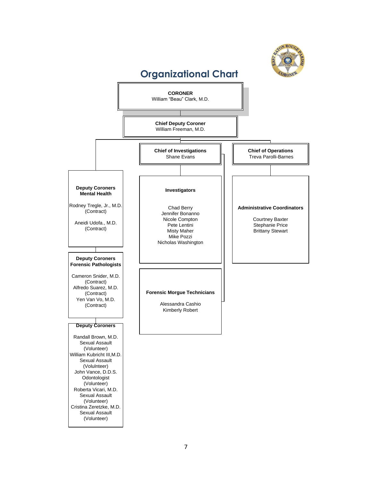

#### 7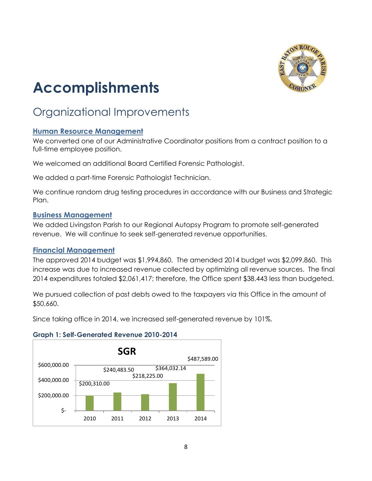

## **Accomplishments**

### Organizational Improvements

#### **Human Resource Management**

We converted one of our Administrative Coordinator positions from a contract position to a full-time employee position.

We welcomed an additional Board Certified Forensic Pathologist.

We added a part-time Forensic Pathologist Technician.

We continue random drug testing procedures in accordance with our Business and Strategic Plan.

#### **Business Management**

We added Livingston Parish to our Regional Autopsy Program to promote self-generated revenue. We will continue to seek self-generated revenue opportunities.

#### **Financial Management**

The approved 2014 budget was \$1,994,860. The amended 2014 budget was \$2,099,860. This increase was due to increased revenue collected by optimizing all revenue sources. The final 2014 expenditures totaled \$2,061,417; therefore, the Office spent \$38,443 less than budgeted.

We pursued collection of past debts owed to the taxpayers via this Office in the amount of \$50,660.

Since taking office in 2014, we increased self-generated revenue by 101%.

#### **Graph 1: Self-Generated Revenue 2010-2014**

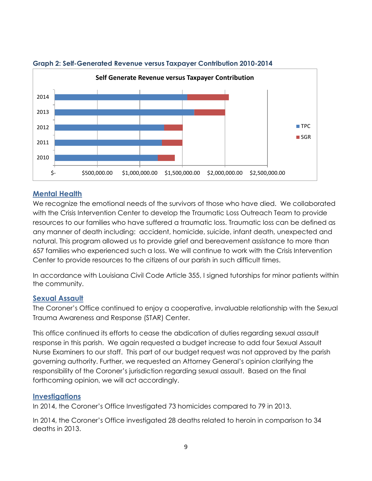

#### **Graph 2: Self-Generated Revenue versus Taxpayer Contribution 2010-2014**

#### **Mental Health**

We recognize the emotional needs of the survivors of those who have died. We collaborated with the Crisis Intervention Center to develop the Traumatic Loss Outreach Team to provide resources to our families who have suffered a traumatic loss. Traumatic loss can be defined as any manner of death including: accident, homicide, suicide, infant death, unexpected and natural. This program allowed us to provide grief and bereavement assistance to more than 657 families who experienced such a loss. We will continue to work with the Crisis Intervention Center to provide resources to the citizens of our parish in such difficult times.

In accordance with Louisiana Civil Code Article 355, I signed tutorships for minor patients within the community.

#### **Sexual Assault**

The Coroner's Office continued to enjoy a cooperative, invaluable relationship with the Sexual Trauma Awareness and Response (STAR) Center.

This office continued its efforts to cease the abdication of duties regarding sexual assault response in this parish. We again requested a budget increase to add four Sexual Assault Nurse Examiners to our staff. This part of our budget request was not approved by the parish governing authority. Further, we requested an Attorney General's opinion clarifying the responsibility of the Coroner's jurisdiction regarding sexual assault. Based on the final forthcoming opinion, we will act accordingly.

#### **Investigations**

In 2014, the Coroner's Office Investigated 73 homicides compared to 79 in 2013.

In 2014, the Coroner's Office investigated 28 deaths related to heroin in comparison to 34 deaths in 2013.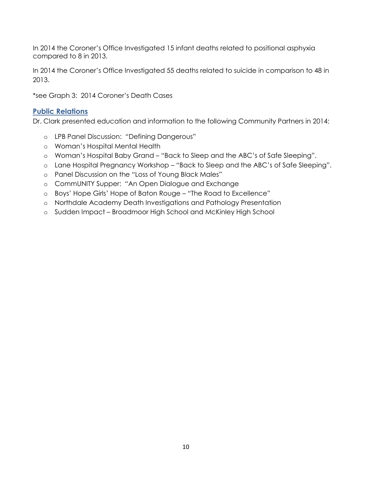In 2014 the Coroner's Office Investigated 15 infant deaths related to positional asphyxia compared to 8 in 2013.

In 2014 the Coroner's Office Investigated 55 deaths related to suicide in comparison to 48 in 2013.

\*see Graph 3: 2014 Coroner's Death Cases

#### **Public Relations**

Dr. Clark presented education and information to the following Community Partners in 2014:

- o LPB Panel Discussion: "Defining Dangerous"
- o Woman's Hospital Mental Health
- o Woman's Hospital Baby Grand "Back to Sleep and the ABC's of Safe Sleeping".
- o Lane Hospital Pregnancy Workshop "Back to Sleep and the ABC's of Safe Sleeping".
- o Panel Discussion on the "Loss of Young Black Males"
- o CommUNITY Supper: "An Open Dialogue and Exchange
- o Boys' Hope Girls' Hope of Baton Rouge "The Road to Excellence"
- o Northdale Academy Death Investigations and Pathology Presentation
- o Sudden Impact Broadmoor High School and McKinley High School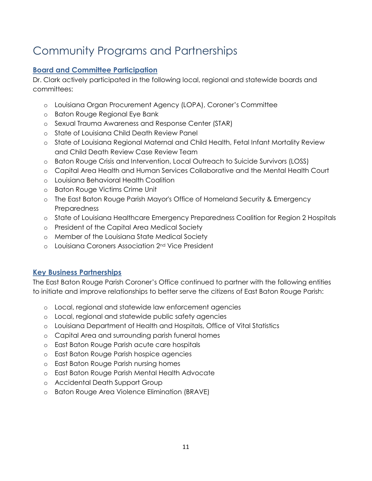### Community Programs and Partnerships

#### **Board and Committee Participation**

Dr. Clark actively participated in the following local, regional and statewide boards and committees:

- o Louisiana Organ Procurement Agency (LOPA), Coroner's Committee
- o Baton Rouge Regional Eye Bank
- o Sexual Trauma Awareness and Response Center (STAR)
- o State of Louisiana Child Death Review Panel
- o State of Louisiana Regional Maternal and Child Health, Fetal Infant Mortality Review and Child Death Review Case Review Team
- o Baton Rouge Crisis and Intervention, Local Outreach to Suicide Survivors (LOSS)
- o Capital Area Health and Human Services Collaborative and the Mental Health Court
- o Louisiana Behavioral Health Coalition
- o Baton Rouge Victims Crime Unit
- o The East Baton Rouge Parish Mayor's Office of Homeland Security & Emergency **Preparedness**
- o State of Louisiana Healthcare Emergency Preparedness Coalition for Region 2 Hospitals
- o President of the Capital Area Medical Society
- o Member of the Louisiana State Medical Society
- o Louisiana Coroners Association 2nd Vice President

#### **Key Business Partnerships**

The East Baton Rouge Parish Coroner's Office continued to partner with the following entities to initiate and improve relationships to better serve the citizens of East Baton Rouge Parish:

- o Local, regional and statewide law enforcement agencies
- o Local, regional and statewide public safety agencies
- o Louisiana Department of Health and Hospitals, Office of Vital Statistics
- o Capital Area and surrounding parish funeral homes
- o East Baton Rouge Parish acute care hospitals
- o East Baton Rouge Parish hospice agencies
- o East Baton Rouge Parish nursing homes
- o East Baton Rouge Parish Mental Health Advocate
- o Accidental Death Support Group
- o Baton Rouge Area Violence Elimination (BRAVE)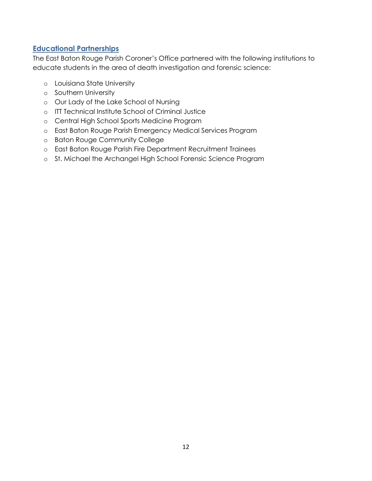#### **Educational Partnerships**

The East Baton Rouge Parish Coroner's Office partnered with the following institutions to educate students in the area of death investigation and forensic science:

- o Louisiana State University
- o Southern University
- o Our Lady of the Lake School of Nursing
- o ITT Technical Institute School of Criminal Justice
- o Central High School Sports Medicine Program
- o East Baton Rouge Parish Emergency Medical Services Program
- o Baton Rouge Community College
- o East Baton Rouge Parish Fire Department Recruitment Trainees
- o St. Michael the Archangel High School Forensic Science Program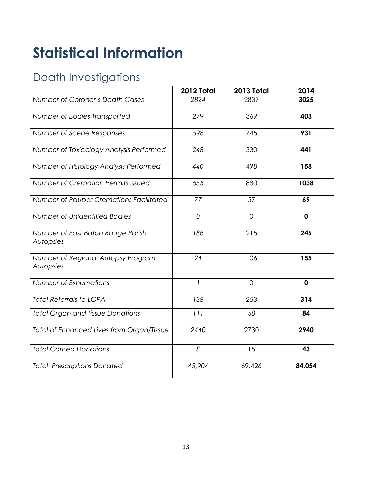## **Statistical Information**

### Death Investigations

|                                                 | 2012 Total     | 2013 Total     | 2014        |
|-------------------------------------------------|----------------|----------------|-------------|
| Number of Coroner's Death Cases                 | 2824           | 2837           | 3025        |
| Number of Bodies Transported                    | 279            | 369            | 403         |
| Number of Scene Responses                       | 598            | 745            | 931         |
| Number of Toxicology Analysis Performed         | 248            | 330            | 441         |
| Number of Histology Analysis Performed          | 440            | 498            | 158         |
| Number of Cremation Permits Issued              | 655            | 880            | 1038        |
| Number of Pauper Cremations Facilitated         | 77             | 57             | 69          |
| Number of Unidentified Bodies                   | $\overline{0}$ | $\overline{0}$ | $\mathbf 0$ |
| Number of East Baton Rouge Parish<br>Autopsies  | 186            | 215            | 246         |
| Number of Regional Autopsy Program<br>Autopsies | 24             | 106            | 155         |
| Number of Exhumations                           | $\overline{1}$ | $\Omega$       | $\mathbf 0$ |
| <b>Total Referrals to LOPA</b>                  | 138            | 253            | 314         |
| <b>Total Organ and Tissue Donations</b>         | 111            | 58             | 84          |
| Total of Enhanced Lives from Organ/Tissue       | 2440           | 2730           | 2940        |
| <b>Total Cornea Donations</b>                   | 8              | 15             | 43          |
| <b>Total Prescriptions Donated</b>              | 45,904         | 69,426         | 84,054      |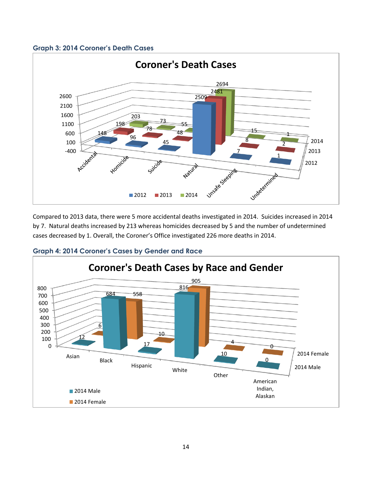#### **Graph 3: 2014 Coroner's Death Cases**



Compared to 2013 data, there were 5 more accidental deaths investigated in 2014. Suicides increased in 2014 by 7. Natural deaths increased by 213 whereas homicides decreased by 5 and the number of undetermined cases decreased by 1. Overall, the Coroner's Office investigated 226 more deaths in 2014.



**Graph 4: 2014 Coroner's Cases by Gender and Race**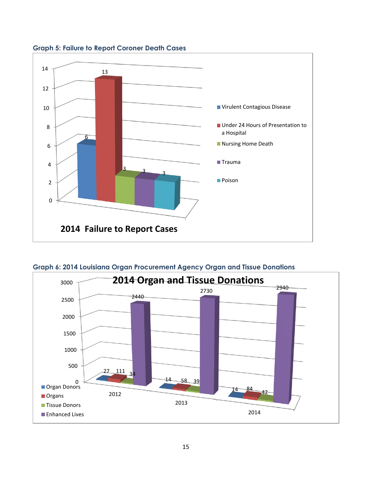

**Graph 5: Failure to Report Coroner Death Cases**

**Graph 6: 2014 Louisiana Organ Procurement Agency Organ and Tissue Donations**

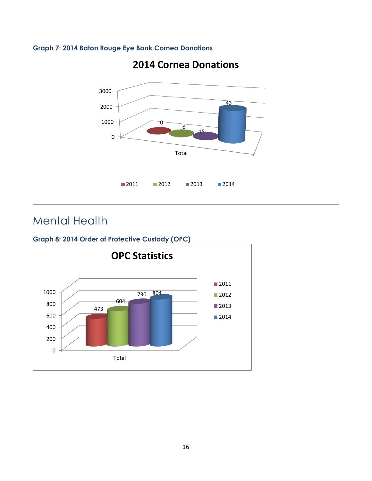

#### **Graph 7: 2014 Baton Rouge Eye Bank Cornea Donations**

### Mental Health

#### **Graph 8: 2014 Order of Protective Custody (OPC)**